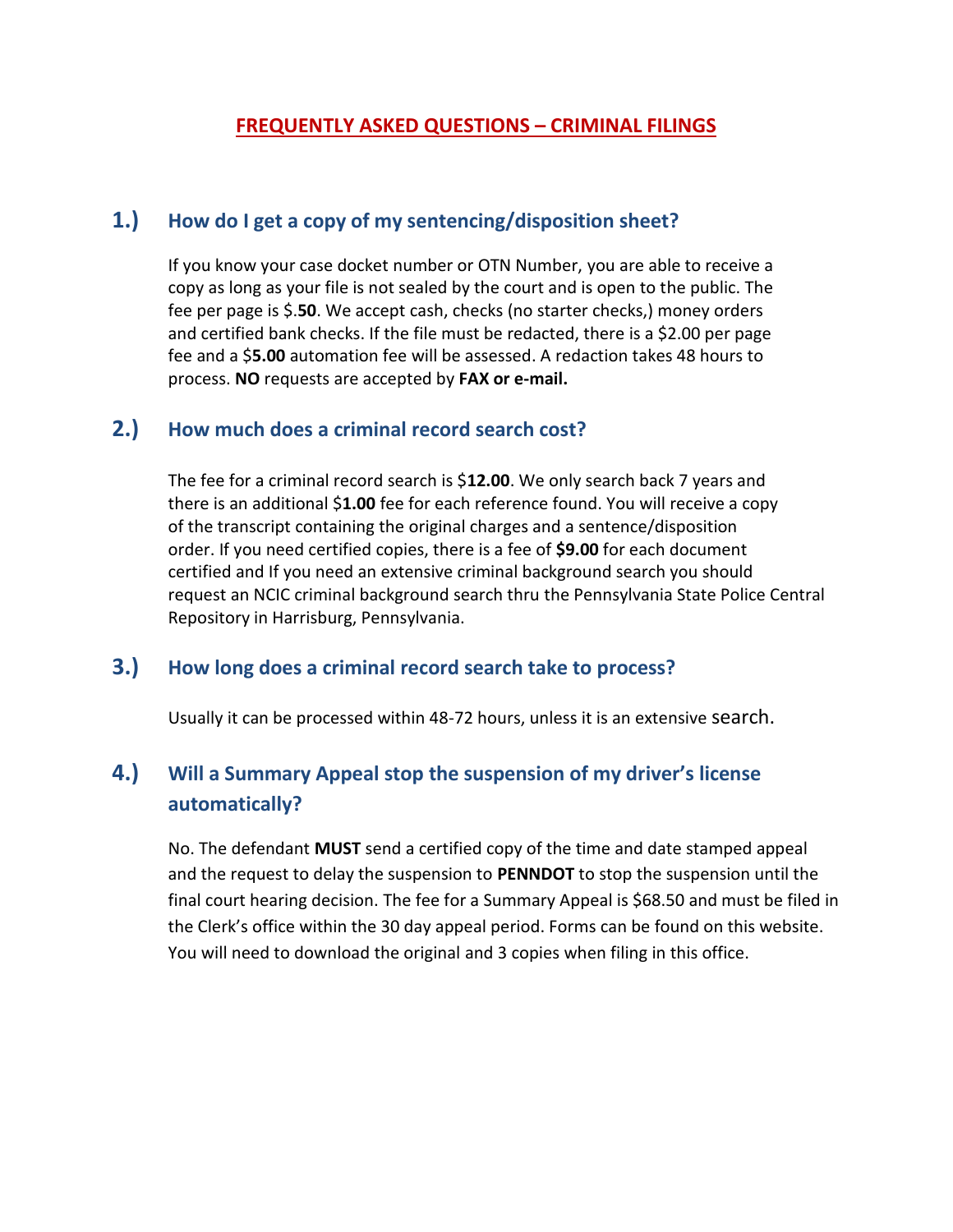#### **FREQUENTLY ASKED QUESTIONS – CRIMINAL FILINGS**

#### **1.) How do I get a copy of my sentencing/disposition sheet?**

If you know your case docket number or OTN Number, you are able to receive a copy as long as your file is not sealed by the court and is open to the public. The fee per page is \$.**50**. We accept cash, checks (no starter checks,) money orders and certified bank checks. If the file must be redacted, there is a \$2.00 per page fee and a \$**5.00** automation fee will be assessed. A redaction takes 48 hours to process. **NO** requests are accepted by **FAX or e-mail.**

### **2.) How much does a criminal record search cost?**

The fee for a criminal record search is \$**12.00**. We only search back 7 years and there is an additional \$**1.00** fee for each reference found. You will receive a copy of the transcript containing the original charges and a sentence/disposition order. If you need certified copies, there is a fee of **\$9.00** for each document certified and If you need an extensive criminal background search you should request an NCIC criminal background search thru the Pennsylvania State Police Central Repository in Harrisburg, Pennsylvania.

#### **3.) How long does a criminal record search take to process?**

Usually it can be processed within 48-72 hours, unless it is an extensive search.

# **4.) Will a Summary Appeal stop the suspension of my driver's license automatically?**

No. The defendant **MUST** send a certified copy of the time and date stamped appeal and the request to delay the suspension to **PENNDOT** to stop the suspension until the final court hearing decision. The fee for a Summary Appeal is \$68.50 and must be filed in the Clerk's office within the 30 day appeal period. Forms can be found on this website. You will need to download the original and 3 copies when filing in this office.